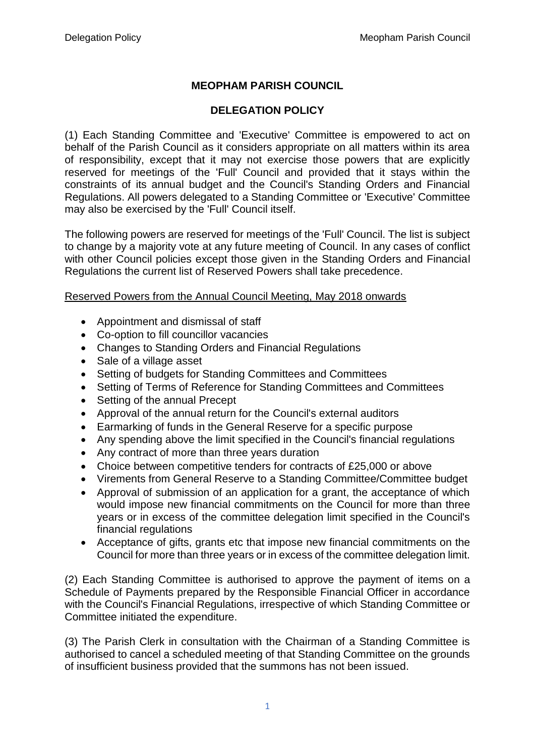## **MEOPHAM PARISH COUNCIL**

## **DELEGATION POLICY**

(1) Each Standing Committee and 'Executive' Committee is empowered to act on behalf of the Parish Council as it considers appropriate on all matters within its area of responsibility, except that it may not exercise those powers that are explicitly reserved for meetings of the 'Full' Council and provided that it stays within the constraints of its annual budget and the Council's Standing Orders and Financial Regulations. All powers delegated to a Standing Committee or 'Executive' Committee may also be exercised by the 'Full' Council itself.

The following powers are reserved for meetings of the 'Full' Council. The list is subject to change by a majority vote at any future meeting of Council. In any cases of conflict with other Council policies except those given in the Standing Orders and Financial Regulations the current list of Reserved Powers shall take precedence.

## Reserved Powers from the Annual Council Meeting, May 2018 onwards

- Appointment and dismissal of staff
- Co-option to fill councillor vacancies
- Changes to Standing Orders and Financial Regulations
- Sale of a village asset
- Setting of budgets for Standing Committees and Committees
- Setting of Terms of Reference for Standing Committees and Committees
- Setting of the annual Precept
- Approval of the annual return for the Council's external auditors
- Earmarking of funds in the General Reserve for a specific purpose
- Any spending above the limit specified in the Council's financial regulations
- Any contract of more than three years duration
- Choice between competitive tenders for contracts of £25,000 or above
- Virements from General Reserve to a Standing Committee/Committee budget
- Approval of submission of an application for a grant, the acceptance of which would impose new financial commitments on the Council for more than three years or in excess of the committee delegation limit specified in the Council's financial regulations
- Acceptance of gifts, grants etc that impose new financial commitments on the Council for more than three years or in excess of the committee delegation limit.

(2) Each Standing Committee is authorised to approve the payment of items on a Schedule of Payments prepared by the Responsible Financial Officer in accordance with the Council's Financial Regulations, irrespective of which Standing Committee or Committee initiated the expenditure.

(3) The Parish Clerk in consultation with the Chairman of a Standing Committee is authorised to cancel a scheduled meeting of that Standing Committee on the grounds of insufficient business provided that the summons has not been issued.